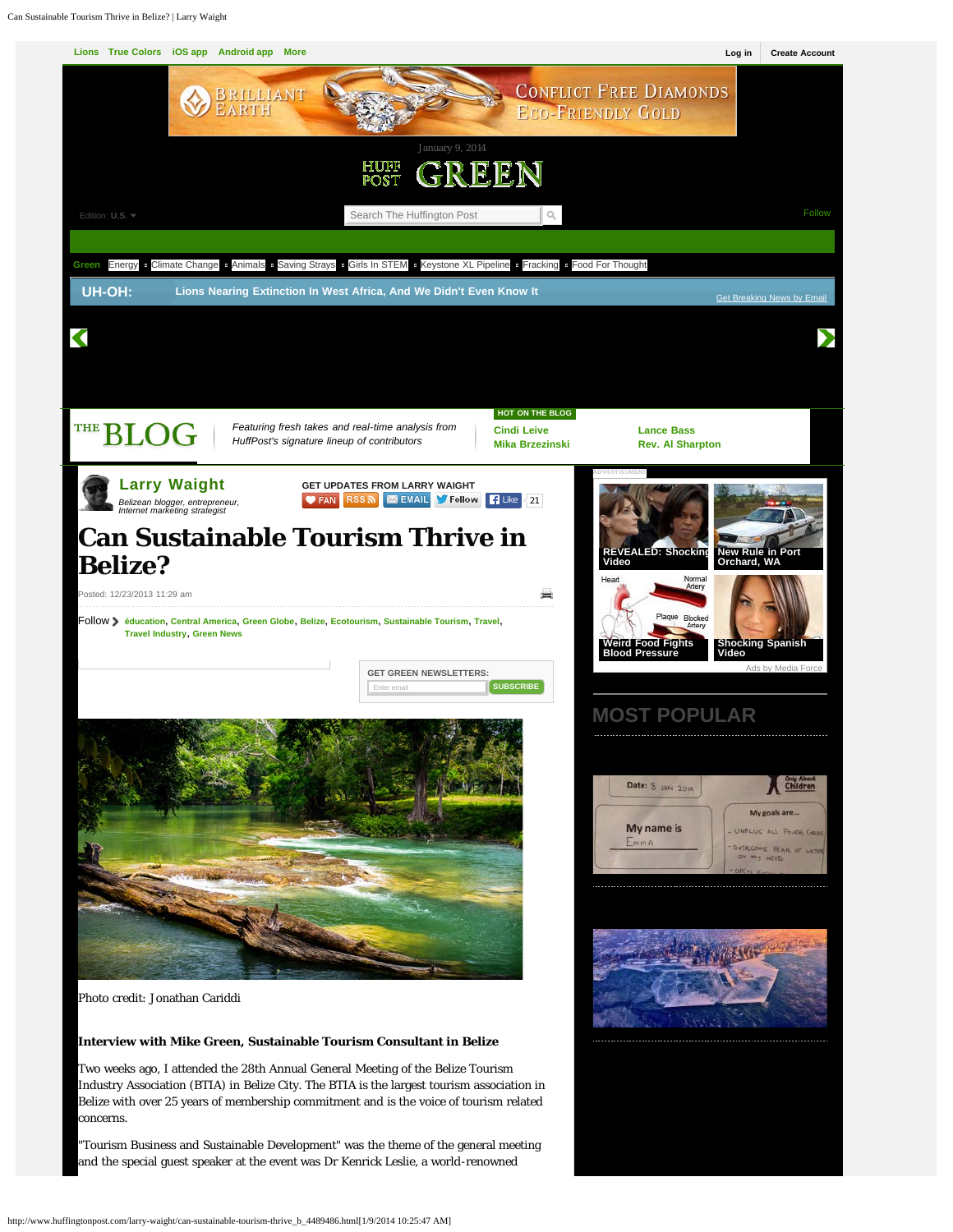<span id="page-0-0"></span>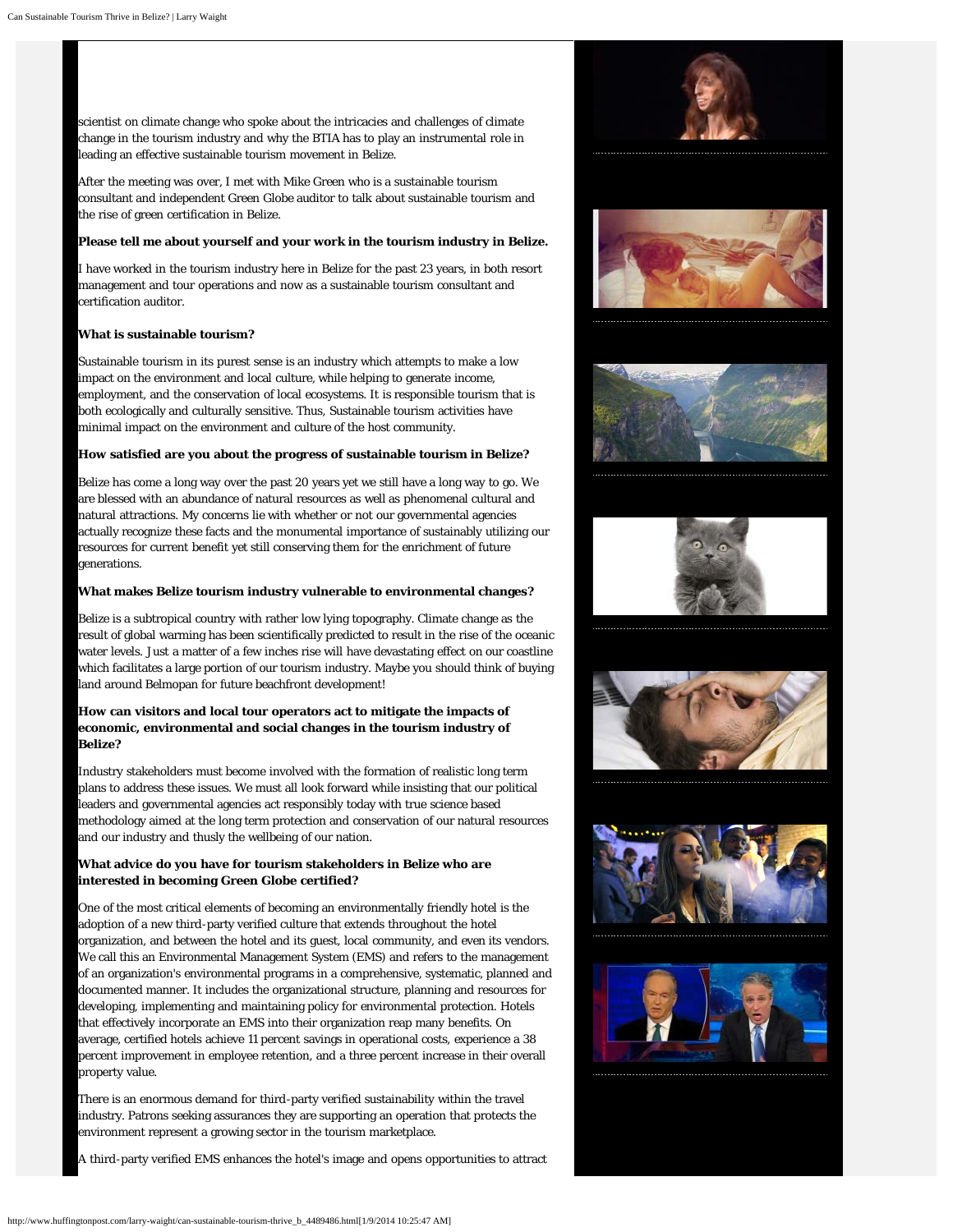scientist on climate change who spoke about the intricacies and challenges of climate change in the tourism industry and why the BTIA has to play an instrumental role in leading an effective sustainable tourism movement in Belize.

After the meeting was over, I met with Mike Green who is a sustainable tourism consultant and independent Green Globe auditor to talk about sustainable tourism and the rise of green certification in Belize.

#### **Please tell me about yourself and your work in the tourism industry in Belize.**

I have worked in the tourism industry here in Belize for the past 23 years, in both resort management and tour operations and now as a sustainable tourism consultant and certification auditor.

## **What is sustainable tourism?**

Sustainable tourism in its purest sense is an industry which attempts to make a low impact on the environment and local culture, while helping to generate income, employment, and the conservation of local ecosystems. It is responsible tourism that is both ecologically and culturally sensitive. Thus, Sustainable tourism activities have minimal impact on the environment and culture of the host community.

# **How satisfied are you about the progress of sustainable tourism in Belize?**

Belize has come a long way over the past 20 years yet we still have a long way to go. We are blessed with an abundance of natural resources as well as phenomenal cultural and natural attractions. My concerns lie with whether or not our governmental agencies actually recognize these facts and the monumental importance of sustainably utilizing our resources for current benefit yet still conserving them for the enrichment of future generations.

### **What makes Belize tourism industry vulnerable to environmental changes?**

Belize is a subtropical country with rather low lying topography. Climate change as the result of global warming has been scientifically predicted to result in the rise of the oceanic water levels. Just a matter of a few inches rise will have devastating effect on our coastline which facilitates a large portion of our tourism industry. Maybe you should think of buying land around Belmopan for future beachfront development!

# **How can visitors and local tour operators act to mitigate the impacts of economic, environmental and social changes in the tourism industry of Belize?**

Industry stakeholders must become involved with the formation of realistic long term plans to address these issues. We must all look forward while insisting that our political leaders and governmental agencies act responsibly today with true science based methodology aimed at the long term protection and conservation of our natural resources and our industry and thusly the wellbeing of our nation.

# **What advice do you have for tourism stakeholders in Belize who are interested in becoming Green Globe certified?**

One of the most critical elements of becoming an environmentally friendly hotel is the adoption of a new third-party verified culture that extends throughout the hotel organization, and between the hotel and its guest, local community, and even its vendors. We call this an Environmental Management System (EMS) and refers to the management of an organization's environmental programs in a comprehensive, systematic, planned and documented manner. It includes the organizational structure, planning and resources for developing, implementing and maintaining policy for environmental protection. Hotels that effectively incorporate an EMS into their organization reap many benefits. On average, certified hotels achieve 11 percent savings in operational costs, experience a 38 percent improvement in employee retention, and a three percent increase in their overall property value.

There is an enormous demand for third-party verified sustainability within the travel industry. Patrons seeking assurances they are supporting an operation that protects the environment represent a growing sector in the tourism marketplace.

A third-party verified EMS enhances the hotel's image and opens opportunities to attract